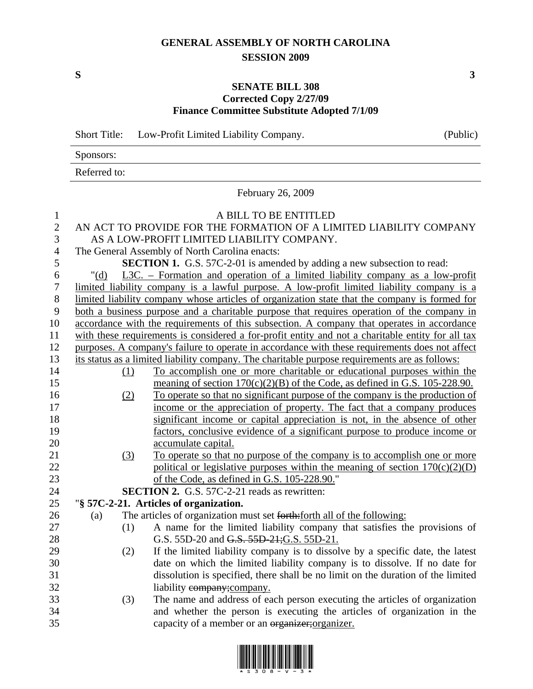## **GENERAL ASSEMBLY OF NORTH CAROLINA SESSION 2009**

## **SENATE BILL 308 Corrected Copy 2/27/09 Finance Committee Substitute Adopted 7/1/09**

Short Title: Low-Profit Limited Liability Company. (Public) Sponsors: Referred to: February 26, 2009 1 A BILL TO BE ENTITLED 2 AN ACT TO PROVIDE FOR THE FORMATION OF A LIMITED LIABILITY COMPANY

3 AS A LOW-PROFIT LIMITED LIABILITY COMPANY. 4 The General Assembly of North Carolina enacts: 5 **SECTION 1.** G.S. 57C-2-01 is amended by adding a new subsection to read: 6 "(d) L3C. – Formation and operation of a limited liability company as a low-profit 7 limited liability company is a lawful purpose. A low-profit limited liability company is a 8 limited liability company whose articles of organization state that the company is formed for 9 both a business purpose and a charitable purpose that requires operation of the company in 10 accordance with the requirements of this subsection. A company that operates in accordance 11 with these requirements is considered a for-profit entity and not a charitable entity for all tax 12 purposes. A company's failure to operate in accordance with these requirements does not affect 13 its status as a limited liability company. The charitable purpose requirements are as follows: 14 (1) To accomplish one or more charitable or educational purposes within the 15 meaning of section  $170(c)(2)(B)$  of the Code, as defined in G.S. 105-228.90. 16 (2) To operate so that no significant purpose of the company is the production of 17 income or the appreciation of property. The fact that a company produces 18 significant income or capital appreciation is not, in the absence of other 19 factors, conclusive evidence of a significant purpose to produce income or 20 accumulate capital. 21 (3) To operate so that no purpose of the company is to accomplish one or more 22 political or legislative purposes within the meaning of section  $170(c)(2)(D)$ 23 of the Code, as defined in G.S. 105-228.90." 24 **SECTION 2.** G.S. 57C-2-21 reads as rewritten: 25 "**§ 57C-2-21. Articles of organization.**  26 (a) The articles of organization must set forth:forth all of the following: 27 (1) A name for the limited liability company that satisfies the provisions of 28 G.S. 55D-20 and G.S. 55D-21;G.S. 55D-21. 29 (2) If the limited liability company is to dissolve by a specific date, the latest 30 date on which the limited liability company is to dissolve. If no date for 31 dissolution is specified, there shall be no limit on the duration of the limited 32 liability example liability company; liability example is not example. 33 (3) The name and address of each person executing the articles of organization 34 and whether the person is executing the articles of organization in the



35 capacity of a member or an organizer;organizer.

**S 3**